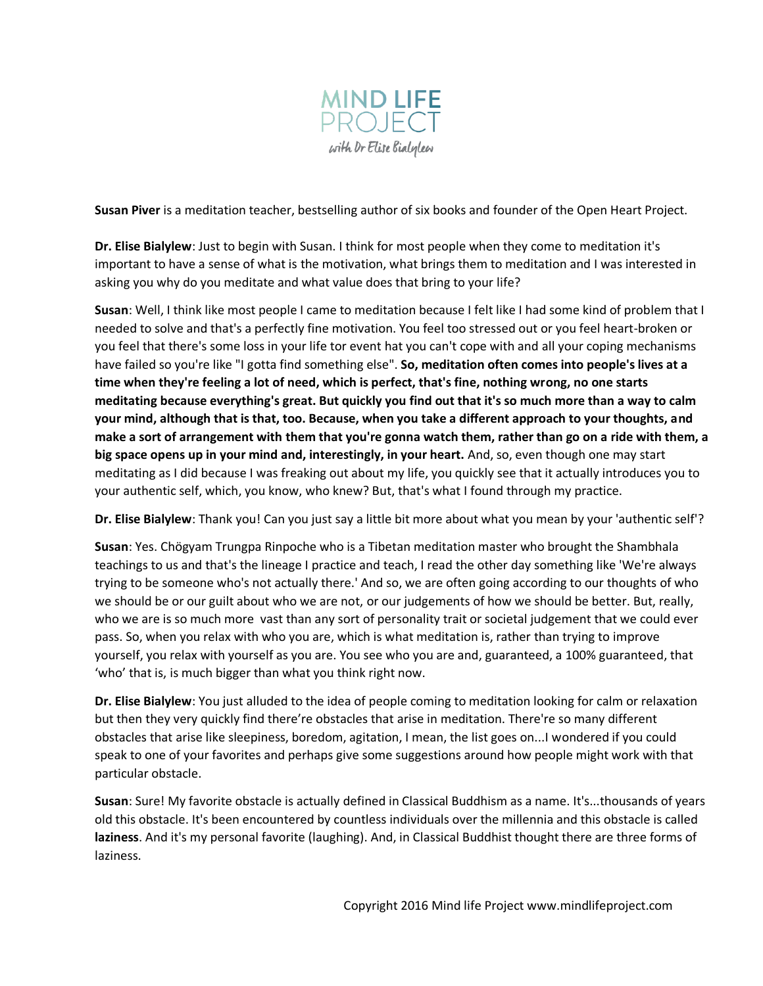

**Susan Piver** is a meditation teacher, bestselling author of six books and founder of the Open Heart Project.

**Dr. Elise Bialylew**: Just to begin with Susan. I think for most people when they come to meditation it's important to have a sense of what is the motivation, what brings them to meditation and I was interested in asking you why do you meditate and what value does that bring to your life?

**Susan**: Well, I think like most people I came to meditation because I felt like I had some kind of problem that I needed to solve and that's a perfectly fine motivation. You feel too stressed out or you feel heart-broken or you feel that there's some loss in your life tor event hat you can't cope with and all your coping mechanisms have failed so you're like "I gotta find something else". **So, meditation often comes into people's lives at a time when they're feeling a lot of need, which is perfect, that's fine, nothing wrong, no one starts meditating because everything's great. But quickly you find out that it's so much more than a way to calm your mind, although that is that, too. Because, when you take a different approach to your thoughts, and make a sort of arrangement with them that you're gonna watch them, rather than go on a ride with them, a big space opens up in your mind and, interestingly, in your heart.** And, so, even though one may start meditating as I did because I was freaking out about my life, you quickly see that it actually introduces you to your authentic self, which, you know, who knew? But, that's what I found through my practice.

**Dr. Elise Bialylew**: Thank you! Can you just say a little bit more about what you mean by your 'authentic self'?

**Susan**: Yes. Chögyam Trungpa Rinpoche who is a Tibetan meditation master who brought the Shambhala teachings to us and that's the lineage I practice and teach, I read the other day something like 'We're always trying to be someone who's not actually there.' And so, we are often going according to our thoughts of who we should be or our guilt about who we are not, or our judgements of how we should be better. But, really, who we are is so much more vast than any sort of personality trait or societal judgement that we could ever pass. So, when you relax with who you are, which is what meditation is, rather than trying to improve yourself, you relax with yourself as you are. You see who you are and, guaranteed, a 100% guaranteed, that 'who' that is, is much bigger than what you think right now.

**Dr. Elise Bialylew**: You just alluded to the idea of people coming to meditation looking for calm or relaxation but then they very quickly find there're obstacles that arise in meditation. There're so many different obstacles that arise like sleepiness, boredom, agitation, I mean, the list goes on...I wondered if you could speak to one of your favorites and perhaps give some suggestions around how people might work with that particular obstacle.

**Susan**: Sure! My favorite obstacle is actually defined in Classical Buddhism as a name. It's...thousands of years old this obstacle. It's been encountered by countless individuals over the millennia and this obstacle is called **laziness**. And it's my personal favorite (laughing). And, in Classical Buddhist thought there are three forms of laziness.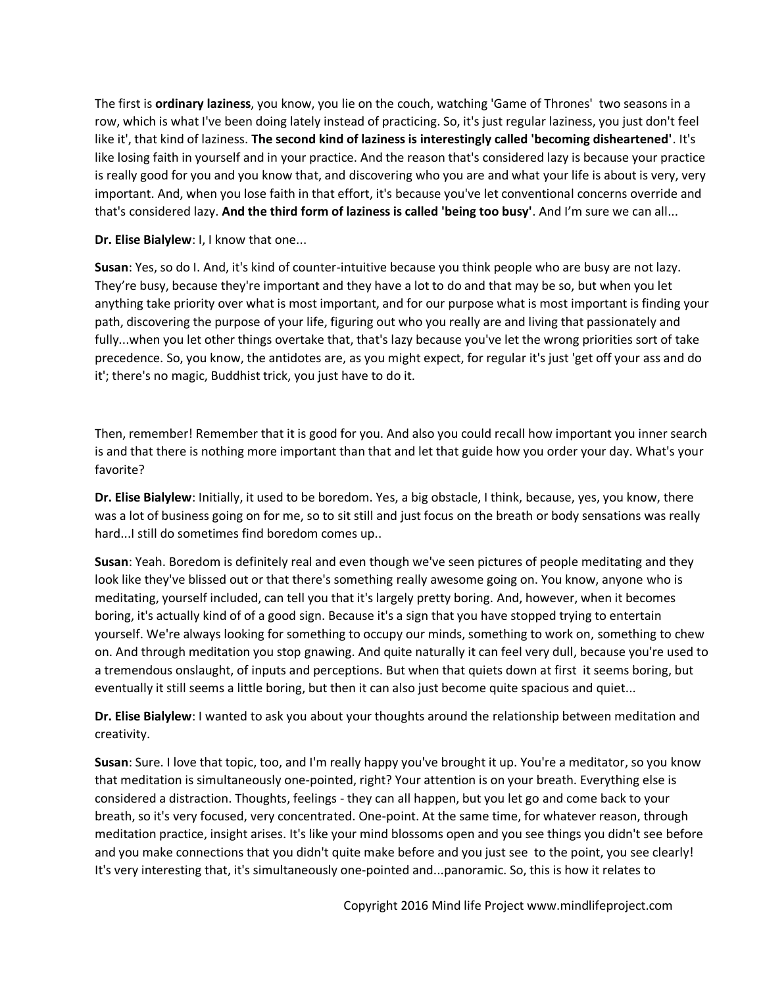The first is **ordinary laziness**, you know, you lie on the couch, watching 'Game of Thrones' two seasons in a row, which is what I've been doing lately instead of practicing. So, it's just regular laziness, you just don't feel like it', that kind of laziness. **The second kind of laziness is interestingly called 'becoming disheartened'**. It's like losing faith in yourself and in your practice. And the reason that's considered lazy is because your practice is really good for you and you know that, and discovering who you are and what your life is about is very, very important. And, when you lose faith in that effort, it's because you've let conventional concerns override and that's considered lazy. **And the third form of laziness is called 'being too busy'**. And I'm sure we can all...

**Dr. Elise Bialylew**: I, I know that one...

**Susan**: Yes, so do I. And, it's kind of counter-intuitive because you think people who are busy are not lazy. They're busy, because they're important and they have a lot to do and that may be so, but when you let anything take priority over what is most important, and for our purpose what is most important is finding your path, discovering the purpose of your life, figuring out who you really are and living that passionately and fully...when you let other things overtake that, that's lazy because you've let the wrong priorities sort of take precedence. So, you know, the antidotes are, as you might expect, for regular it's just 'get off your ass and do it'; there's no magic, Buddhist trick, you just have to do it.

Then, remember! Remember that it is good for you. And also you could recall how important you inner search is and that there is nothing more important than that and let that guide how you order your day. What's your favorite?

**Dr. Elise Bialylew**: Initially, it used to be boredom. Yes, a big obstacle, I think, because, yes, you know, there was a lot of business going on for me, so to sit still and just focus on the breath or body sensations was really hard...I still do sometimes find boredom comes up..

**Susan**: Yeah. Boredom is definitely real and even though we've seen pictures of people meditating and they look like they've blissed out or that there's something really awesome going on. You know, anyone who is meditating, yourself included, can tell you that it's largely pretty boring. And, however, when it becomes boring, it's actually kind of of a good sign. Because it's a sign that you have stopped trying to entertain yourself. We're always looking for something to occupy our minds, something to work on, something to chew on. And through meditation you stop gnawing. And quite naturally it can feel very dull, because you're used to a tremendous onslaught, of inputs and perceptions. But when that quiets down at first it seems boring, but eventually it still seems a little boring, but then it can also just become quite spacious and quiet...

**Dr. Elise Bialylew**: I wanted to ask you about your thoughts around the relationship between meditation and creativity.

**Susan**: Sure. I love that topic, too, and I'm really happy you've brought it up. You're a meditator, so you know that meditation is simultaneously one-pointed, right? Your attention is on your breath. Everything else is considered a distraction. Thoughts, feelings - they can all happen, but you let go and come back to your breath, so it's very focused, very concentrated. One-point. At the same time, for whatever reason, through meditation practice, insight arises. It's like your mind blossoms open and you see things you didn't see before and you make connections that you didn't quite make before and you just see to the point, you see clearly! It's very interesting that, it's simultaneously one-pointed and...panoramic. So, this is how it relates to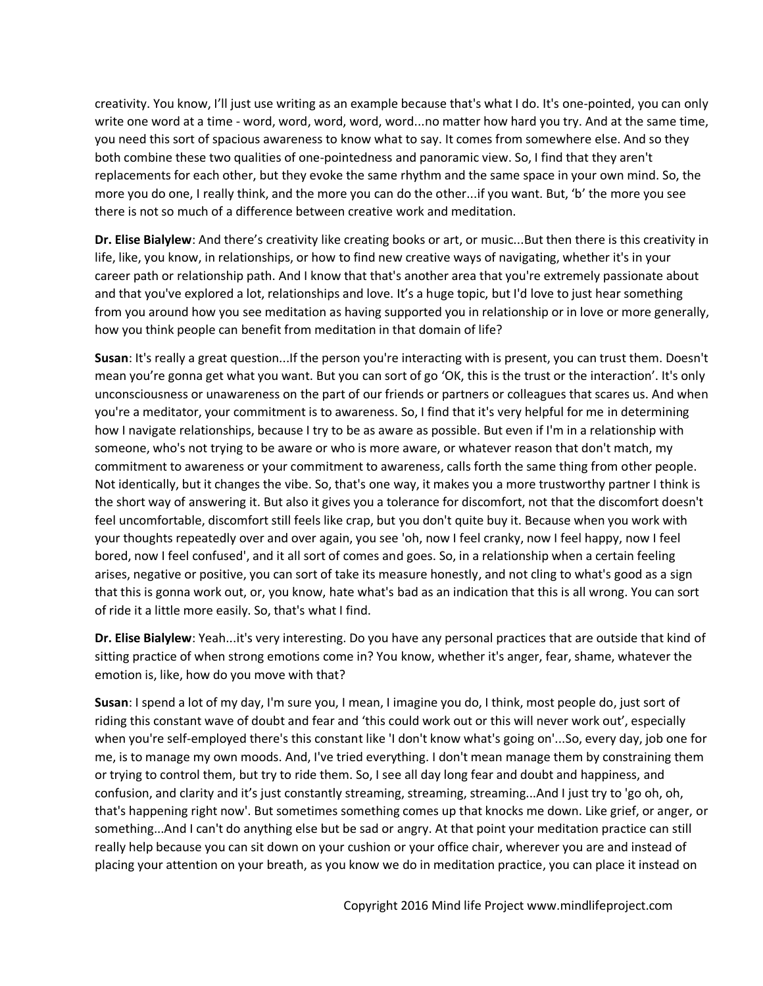creativity. You know, I'll just use writing as an example because that's what I do. It's one-pointed, you can only write one word at a time - word, word, word, word, word...no matter how hard you try. And at the same time, you need this sort of spacious awareness to know what to say. It comes from somewhere else. And so they both combine these two qualities of one-pointedness and panoramic view. So, I find that they aren't replacements for each other, but they evoke the same rhythm and the same space in your own mind. So, the more you do one, I really think, and the more you can do the other...if you want. But, 'b' the more you see there is not so much of a difference between creative work and meditation.

**Dr. Elise Bialylew**: And there's creativity like creating books or art, or music...But then there is this creativity in life, like, you know, in relationships, or how to find new creative ways of navigating, whether it's in your career path or relationship path. And I know that that's another area that you're extremely passionate about and that you've explored a lot, relationships and love. It's a huge topic, but I'd love to just hear something from you around how you see meditation as having supported you in relationship or in love or more generally, how you think people can benefit from meditation in that domain of life?

**Susan**: It's really a great question...If the person you're interacting with is present, you can trust them. Doesn't mean you're gonna get what you want. But you can sort of go 'OK, this is the trust or the interaction'. It's only unconsciousness or unawareness on the part of our friends or partners or colleagues that scares us. And when you're a meditator, your commitment is to awareness. So, I find that it's very helpful for me in determining how I navigate relationships, because I try to be as aware as possible. But even if I'm in a relationship with someone, who's not trying to be aware or who is more aware, or whatever reason that don't match, my commitment to awareness or your commitment to awareness, calls forth the same thing from other people. Not identically, but it changes the vibe. So, that's one way, it makes you a more trustworthy partner I think is the short way of answering it. But also it gives you a tolerance for discomfort, not that the discomfort doesn't feel uncomfortable, discomfort still feels like crap, but you don't quite buy it. Because when you work with your thoughts repeatedly over and over again, you see 'oh, now I feel cranky, now I feel happy, now I feel bored, now I feel confused', and it all sort of comes and goes. So, in a relationship when a certain feeling arises, negative or positive, you can sort of take its measure honestly, and not cling to what's good as a sign that this is gonna work out, or, you know, hate what's bad as an indication that this is all wrong. You can sort of ride it a little more easily. So, that's what I find.

**Dr. Elise Bialylew**: Yeah...it's very interesting. Do you have any personal practices that are outside that kind of sitting practice of when strong emotions come in? You know, whether it's anger, fear, shame, whatever the emotion is, like, how do you move with that?

**Susan**: I spend a lot of my day, I'm sure you, I mean, I imagine you do, I think, most people do, just sort of riding this constant wave of doubt and fear and 'this could work out or this will never work out', especially when you're self-employed there's this constant like 'I don't know what's going on'...So, every day, job one for me, is to manage my own moods. And, I've tried everything. I don't mean manage them by constraining them or trying to control them, but try to ride them. So, I see all day long fear and doubt and happiness, and confusion, and clarity and it's just constantly streaming, streaming, streaming...And I just try to 'go oh, oh, that's happening right now'. But sometimes something comes up that knocks me down. Like grief, or anger, or something...And I can't do anything else but be sad or angry. At that point your meditation practice can still really help because you can sit down on your cushion or your office chair, wherever you are and instead of placing your attention on your breath, as you know we do in meditation practice, you can place it instead on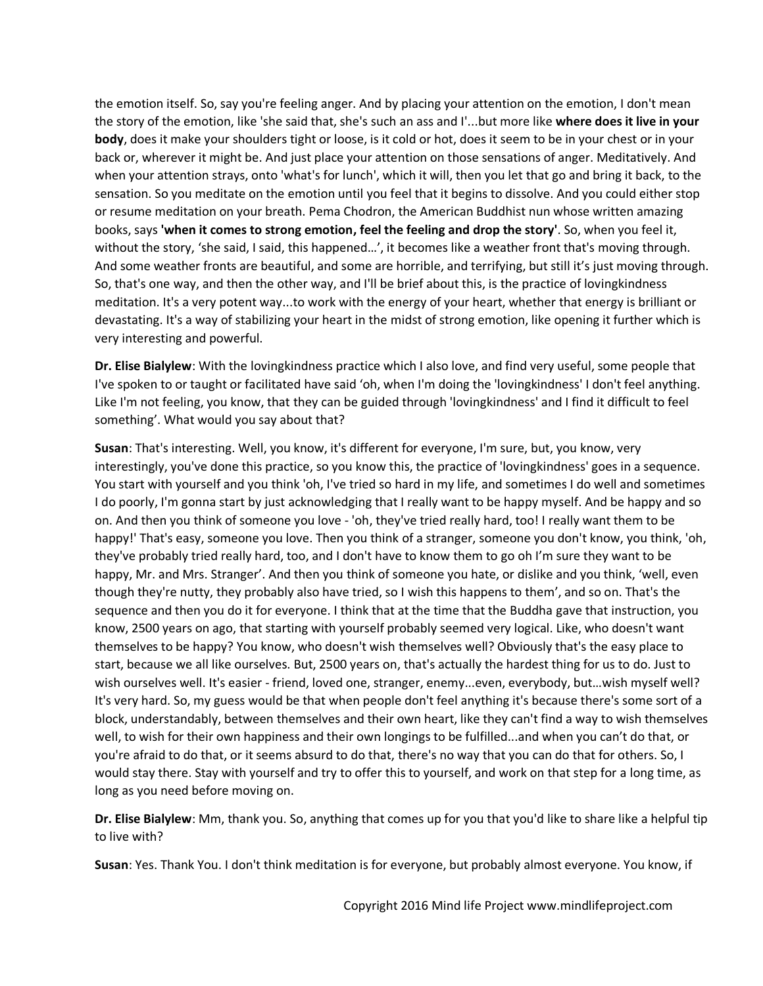the emotion itself. So, say you're feeling anger. And by placing your attention on the emotion, I don't mean the story of the emotion, like 'she said that, she's such an ass and I'...but more like **where does it live in your body**, does it make your shoulders tight or loose, is it cold or hot, does it seem to be in your chest or in your back or, wherever it might be. And just place your attention on those sensations of anger. Meditatively. And when your attention strays, onto 'what's for lunch', which it will, then you let that go and bring it back, to the sensation. So you meditate on the emotion until you feel that it begins to dissolve. And you could either stop or resume meditation on your breath. Pema Chodron, the American Buddhist nun whose written amazing books, says **'when it comes to strong emotion, feel the feeling and drop the story'**. So, when you feel it, without the story, 'she said, I said, this happened…', it becomes like a weather front that's moving through. And some weather fronts are beautiful, and some are horrible, and terrifying, but still it's just moving through. So, that's one way, and then the other way, and I'll be brief about this, is the practice of lovingkindness meditation. It's a very potent way...to work with the energy of your heart, whether that energy is brilliant or devastating. It's a way of stabilizing your heart in the midst of strong emotion, like opening it further which is very interesting and powerful.

**Dr. Elise Bialylew**: With the lovingkindness practice which I also love, and find very useful, some people that I've spoken to or taught or facilitated have said 'oh, when I'm doing the 'lovingkindness' I don't feel anything. Like I'm not feeling, you know, that they can be guided through 'lovingkindness' and I find it difficult to feel something'. What would you say about that?

**Susan**: That's interesting. Well, you know, it's different for everyone, I'm sure, but, you know, very interestingly, you've done this practice, so you know this, the practice of 'lovingkindness' goes in a sequence. You start with yourself and you think 'oh, I've tried so hard in my life, and sometimes I do well and sometimes I do poorly, I'm gonna start by just acknowledging that I really want to be happy myself. And be happy and so on. And then you think of someone you love - 'oh, they've tried really hard, too! I really want them to be happy!' That's easy, someone you love. Then you think of a stranger, someone you don't know, you think, 'oh, they've probably tried really hard, too, and I don't have to know them to go oh I'm sure they want to be happy, Mr. and Mrs. Stranger'. And then you think of someone you hate, or dislike and you think, 'well, even though they're nutty, they probably also have tried, so I wish this happens to them', and so on. That's the sequence and then you do it for everyone. I think that at the time that the Buddha gave that instruction, you know, 2500 years on ago, that starting with yourself probably seemed very logical. Like, who doesn't want themselves to be happy? You know, who doesn't wish themselves well? Obviously that's the easy place to start, because we all like ourselves. But, 2500 years on, that's actually the hardest thing for us to do. Just to wish ourselves well. It's easier - friend, loved one, stranger, enemy...even, everybody, but…wish myself well? It's very hard. So, my guess would be that when people don't feel anything it's because there's some sort of a block, understandably, between themselves and their own heart, like they can't find a way to wish themselves well, to wish for their own happiness and their own longings to be fulfilled...and when you can't do that, or you're afraid to do that, or it seems absurd to do that, there's no way that you can do that for others. So, I would stay there. Stay with yourself and try to offer this to yourself, and work on that step for a long time, as long as you need before moving on.

**Dr. Elise Bialylew**: Mm, thank you. So, anything that comes up for you that you'd like to share like a helpful tip to live with?

**Susan**: Yes. Thank You. I don't think meditation is for everyone, but probably almost everyone. You know, if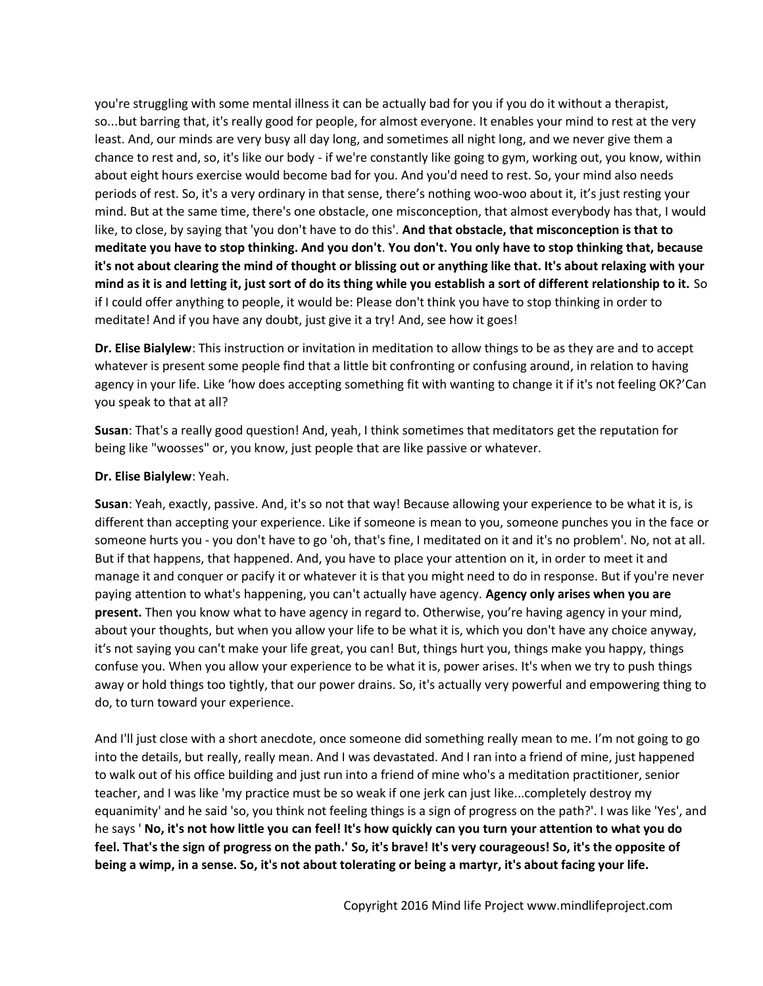you're struggling with some mental illness it can be actually bad for you if you do it without a therapist, so...but barring that, it's really good for people, for almost everyone. It enables your mind to rest at the very least. And, our minds are very busy all day long, and sometimes all night long, and we never give them a chance to rest and, so, it's like our body - if we're constantly like going to gym, working out, you know, within about eight hours exercise would become bad for you. And you'd need to rest. So, your mind also needs periods of rest. So, it's a very ordinary in that sense, there's nothing woo-woo about it, it's just resting your mind. But at the same time, there's one obstacle, one misconception, that almost everybody has that, I would like, to close, by saying that 'you don't have to do this'. **And that obstacle, that misconception is that to meditate you have to stop thinking. And you don't**. **You don't. You only have to stop thinking that, because it's not about clearing the mind of thought or blissing out or anything like that. It's about relaxing with your mind as it is and letting it, just sort of do its thing while you establish a sort of different relationship to it.** So if I could offer anything to people, it would be: Please don't think you have to stop thinking in order to meditate! And if you have any doubt, just give it a try! And, see how it goes!

**Dr. Elise Bialylew**: This instruction or invitation in meditation to allow things to be as they are and to accept whatever is present some people find that a little bit confronting or confusing around, in relation to having agency in your life. Like 'how does accepting something fit with wanting to change it if it's not feeling OK?'Can you speak to that at all?

**Susan**: That's a really good question! And, yeah, I think sometimes that meditators get the reputation for being like "woosses" or, you know, just people that are like passive or whatever.

## **Dr. Elise Bialylew**: Yeah.

**Susan**: Yeah, exactly, passive. And, it's so not that way! Because allowing your experience to be what it is, is different than accepting your experience. Like if someone is mean to you, someone punches you in the face or someone hurts you - you don't have to go 'oh, that's fine, I meditated on it and it's no problem'. No, not at all. But if that happens, that happened. And, you have to place your attention on it, in order to meet it and manage it and conquer or pacify it or whatever it is that you might need to do in response. But if you're never paying attention to what's happening, you can't actually have agency. **Agency only arises when you are present.** Then you know what to have agency in regard to. Otherwise, you're having agency in your mind, about your thoughts, but when you allow your life to be what it is, which you don't have any choice anyway, it's not saying you can't make your life great, you can! But, things hurt you, things make you happy, things confuse you. When you allow your experience to be what it is, power arises. It's when we try to push things away or hold things too tightly, that our power drains. So, it's actually very powerful and empowering thing to do, to turn toward your experience.

And I'll just close with a short anecdote, once someone did something really mean to me. I'm not going to go into the details, but really, really mean. And I was devastated. And I ran into a friend of mine, just happened to walk out of his office building and just run into a friend of mine who's a meditation practitioner, senior teacher, and I was like 'my practice must be so weak if one jerk can just like...completely destroy my equanimity' and he said 'so, you think not feeling things is a sign of progress on the path?'. I was like 'Yes', and he says ' **No, it's not how little you can feel! It's how quickly can you turn your attention to what you do feel. That's the sign of progress on the path.' So, it's brave! It's very courageous! So, it's the opposite of being a wimp, in a sense. So, it's not about tolerating or being a martyr, it's about facing your life.**